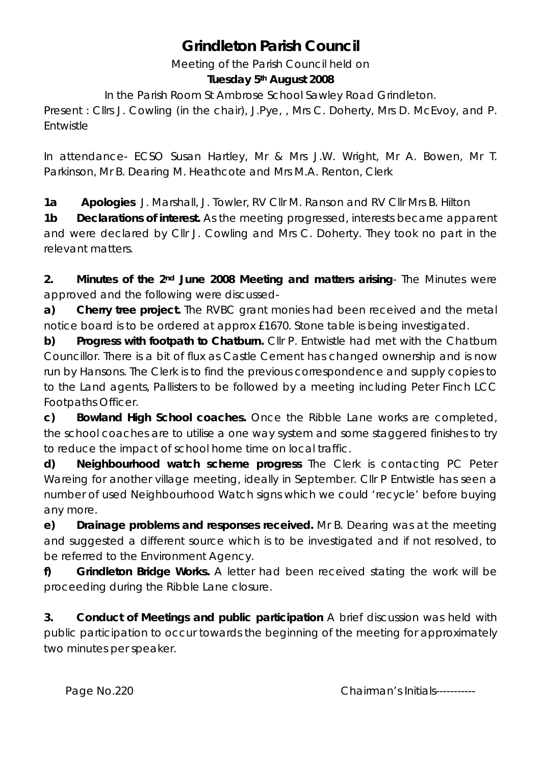# **Grindleton Parish Council**

Meeting of the Parish Council held on

#### **Tuesday 5th August 2008**

In the Parish Room St Ambrose School Sawley Road Grindleton.

Present : Cllrs J. Cowling (in the chair), J.Pye, , Mrs C. Doherty, Mrs D. McEvoy, and P. Entwistle

In attendance- ECSO Susan Hartley, Mr & Mrs J.W. Wright, Mr A. Bowen, Mr T. Parkinson, Mr B. Dearing M. Heathcote and Mrs M.A. Renton, Clerk

**1a Apologies** J. Marshall, J. Towler, RV Cllr M. Ranson and RV Cllr Mrs B. Hilton **1b Declarations of interest.** As the meeting progressed, interests became apparent and were declared by Cllr J. Cowling and Mrs C. Doherty. They took no part in the relevant matters.

**2. Minutes of the 2nd June 2008 Meeting and matters arising**- The Minutes were approved and the following were discussed-

**a) Cherry tree project.** The RVBC grant monies had been received and the metal notice board is to be ordered at approx £1670. Stone table is being investigated.

**b) Progress with footpath to Chatburn.** Cllr P. Entwistle had met with the Chatburn Councillor. There is a bit of flux as Castle Cement has changed ownership and is now run by Hansons. The Clerk is to find the previous correspondence and supply copies to to the Land agents, Pallisters to be followed by a meeting including Peter Finch LCC Footpaths Officer.

**c) Bowland High School coaches.** Once the Ribble Lane works are completed, the school coaches are to utilise a one way system and some staggered finishes to try to reduce the impact of school home time on local traffic.

**d) Neighbourhood watch scheme progress** The Clerk is contacting PC Peter Wareing for another village meeting, ideally in September. Cllr P Entwistle has seen a number of used Neighbourhood Watch signs which we could 'recycle' before buying any more.

**e) Drainage problems and responses received.** Mr B. Dearing was at the meeting and suggested a different source which is to be investigated and if not resolved, to be referred to the Environment Agency.

**f) Grindleton Bridge Works.** A letter had been received stating the work will be proceeding during the Ribble Lane closure.

**3. Conduct of Meetings and public participation** A brief discussion was held with public participation to occur towards the beginning of the meeting for approximately two minutes per speaker.

Page No.220 **Chairman's Initials-----------**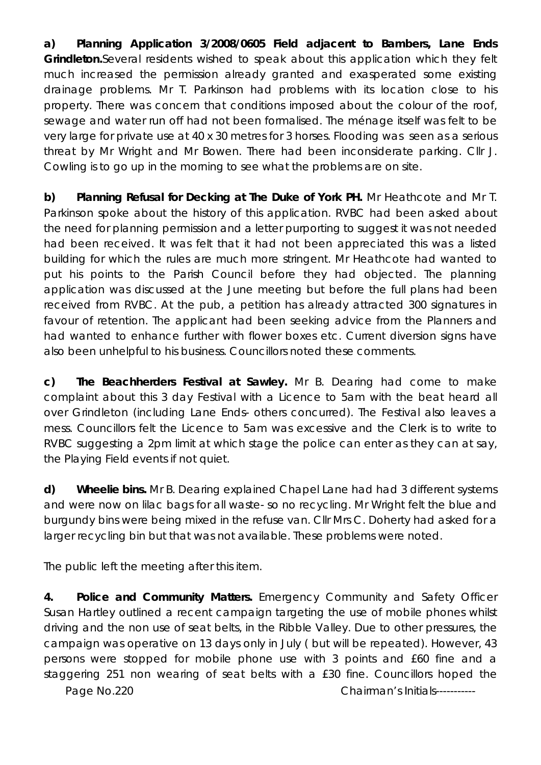**a) Planning Application 3/2008/0605 Field adjacent to Bambers, Lane Ends Grindleton.**Several residents wished to speak about this application which they felt much increased the permission already granted and exasperated some existing drainage problems. Mr T. Parkinson had problems with its location close to his property. There was concern that conditions imposed about the colour of the roof, sewage and water run off had not been formalised. The ménage itself was felt to be very large for private use at 40 x 30 metres for 3 horses. Flooding was seen as a serious threat by Mr Wright and Mr Bowen. There had been inconsiderate parking. Cllr J. Cowling is to go up in the morning to see what the problems are on site.

**b) Planning Refusal for Decking at The Duke of York PH.** Mr Heathcote and Mr T. Parkinson spoke about the history of this application. RVBC had been asked about the need for planning permission and a letter purporting to suggest it was not needed had been received. It was felt that it had not been appreciated this was a listed building for which the rules are much more stringent. Mr Heathcote had wanted to put his points to the Parish Council before they had objected. The planning application was discussed at the June meeting but before the full plans had been received from RVBC. At the pub, a petition has already attracted 300 signatures in favour of retention. The applicant had been seeking advice from the Planners and had wanted to enhance further with flower boxes etc. Current diversion signs have also been unhelpful to his business. Councillors noted these comments.

**c) The Beachherders Festival at Sawley.** Mr B. Dearing had come to make complaint about this 3 day Festival with a Licence to 5am with the beat heard all over Grindleton (including Lane Ends- others concurred). The Festival also leaves a mess. Councillors felt the Licence to 5am was excessive and the Clerk is to write to RVBC suggesting a 2pm limit at which stage the police can enter as they can at say, the Playing Field events if not quiet.

**d) Wheelie bins.** Mr B. Dearing explained Chapel Lane had had 3 different systems and were now on lilac bags for all waste- so no recycling. Mr Wright felt the blue and burgundy bins were being mixed in the refuse van. Cllr Mrs C. Doherty had asked for a larger recycling bin but that was not available. These problems were noted.

The public left the meeting after this item.

**4. Police and Community Matters.** Emergency Community and Safety Officer Susan Hartley outlined a recent campaign targeting the use of mobile phones whilst driving and the non use of seat belts, in the Ribble Valley. Due to other pressures, the campaign was operative on 13 days only in July ( but will be repeated). However, 43 persons were stopped for mobile phone use with 3 points and £60 fine and a staggering 251 non wearing of seat belts with a £30 fine. Councillors hoped the

Page No.220 **Chairman's Initials-----------**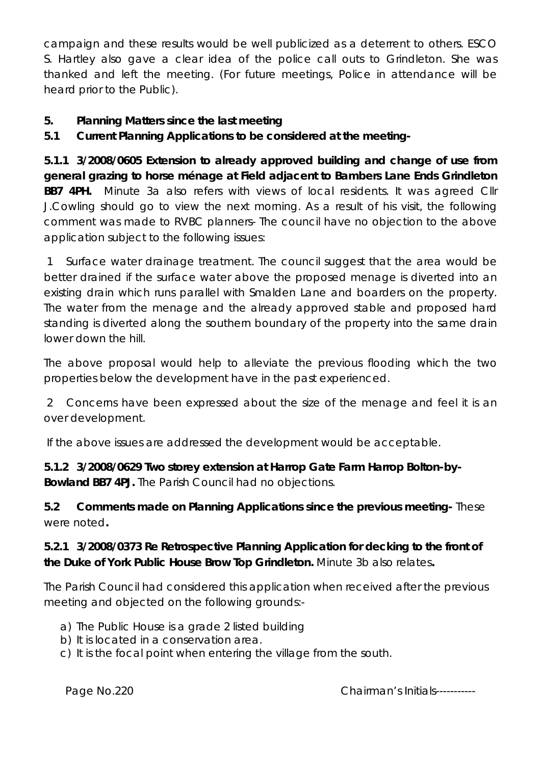campaign and these results would be well publicized as a deterrent to others. ESCO S. Hartley also gave a clear idea of the police call outs to Grindleton. She was thanked and left the meeting. (For future meetings, Police in attendance will be heard prior to the Public).

## **5. Planning Matters since the last meeting**

**5.1 Current Planning Applications to be considered at the meeting-**

**5.1.1 3/2008/0605 Extension to already approved building and change of use from general grazing to horse ménage at Field adjacent to Bambers Lane Ends Grindleton BB7 4PH.** Minute 3a also refers with views of local residents. It was agreed Cllr J.Cowling should go to view the next morning. As a result of his visit, the following comment was made to RVBC planners- The council have no objection to the above application subject to the following issues:

 1 Surface water drainage treatment. The council suggest that the area would be better drained if the surface water above the proposed menage is diverted into an existing drain which runs parallel with Smalden Lane and boarders on the property. The water from the menage and the already approved stable and proposed hard standing is diverted along the southern boundary of the property into the same drain lower down the hill.

The above proposal would help to alleviate the previous flooding which the two properties below the development have in the past experienced.

 2 Concerns have been expressed about the size of the menage and feel it is an over development.

If the above issues are addressed the development would be acceptable.

**5.1.2 3/2008/0629 Two storey extension at Harrop Gate Farm Harrop Bolton-by-Bowland BB7 4PJ.** The Parish Council had no objections.

**5.2 Comments made on Planning Applications since the previous meeting-** These were noted**.** 

#### **5.2.1 3/2008/0373 Re Retrospective Planning Application for decking to the front of the Duke of York Public House Brow Top Grindleton.** Minute 3b also relates**.**

The Parish Council had considered this application when received after the previous meeting and objected on the following grounds:-

- a) The Public House is a grade 2 listed building
- b) It is located in a conservation area.
- c) It is the focal point when entering the village from the south.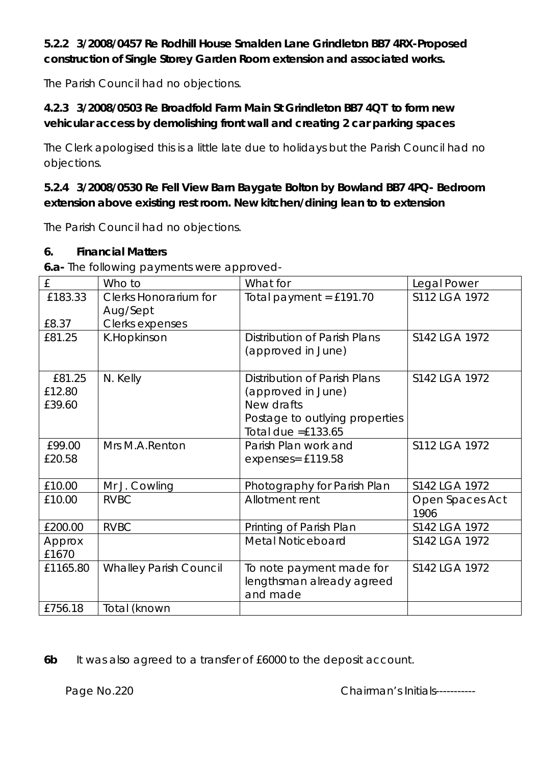## **5.2.2 3/2008/0457 Re Rodhill House Smalden Lane Grindleton BB7 4RX-Proposed construction of Single Storey Garden Room extension and associated works.**

The Parish Council had no objections.

## **4.2.3 3/2008/0503 Re Broadfold Farm Main St Grindleton BB7 4QT to form new vehicular access by demolishing front wall and creating 2 car parking spaces**

The Clerk apologised this is a little late due to holidays but the Parish Council had no objections.

## **5.2.4 3/2008/0530 Re Fell View Barn Baygate Bolton by Bowland BB7 4PQ- Bedroom extension above existing rest room. New kitchen/dining lean to to extension**

The Parish Council had no objections.

#### **6. Financial Matters**

**6.a-** The following payments were approved-

| £        | Who to                        | What for                            | Legal Power             |
|----------|-------------------------------|-------------------------------------|-------------------------|
| £183.33  | <b>Clerks Honorarium for</b>  | Total payment = $£191.70$           | S112 LGA 1972           |
|          | Aug/Sept                      |                                     |                         |
| £8.37    | Clerks expenses               |                                     |                         |
| £81.25   | K.Hopkinson                   | <b>Distribution of Parish Plans</b> | S142 LGA 1972           |
|          |                               | (approved in June)                  |                         |
|          |                               |                                     |                         |
| £81.25   | N. Kelly                      | <b>Distribution of Parish Plans</b> | S142 LGA 1972           |
| £12.80   |                               | (approved in June)                  |                         |
| £39.60   |                               | New drafts                          |                         |
|          |                               | Postage to outlying properties      |                         |
|          |                               | Total due $=£133.65$                |                         |
| £99.00   | Mrs M.A.Renton                | Parish Plan work and                | S112 LGA 1972           |
| £20.58   |                               | expenses= £119.58                   |                         |
|          |                               |                                     |                         |
| £10.00   | Mr J. Cowling                 | Photography for Parish Plan         | S142 LGA 1972           |
| £10.00   | <b>RVBC</b>                   | Allotment rent                      | Open Spaces Act<br>1906 |
| £200.00  | <b>RVBC</b>                   | Printing of Parish Plan             | S142 LGA 1972           |
| Approx   |                               | <b>Metal Noticeboard</b>            | S142 LGA 1972           |
| £1670    |                               |                                     |                         |
| £1165.80 | <b>Whalley Parish Council</b> | To note payment made for            | S142 LGA 1972           |
|          |                               | lengthsman already agreed           |                         |
|          |                               | and made                            |                         |
| £756.18  | Total (known                  |                                     |                         |

**6b** It was also agreed to a transfer of £6000 to the deposit account.

Page No.220 **Chairman's Initials-----------**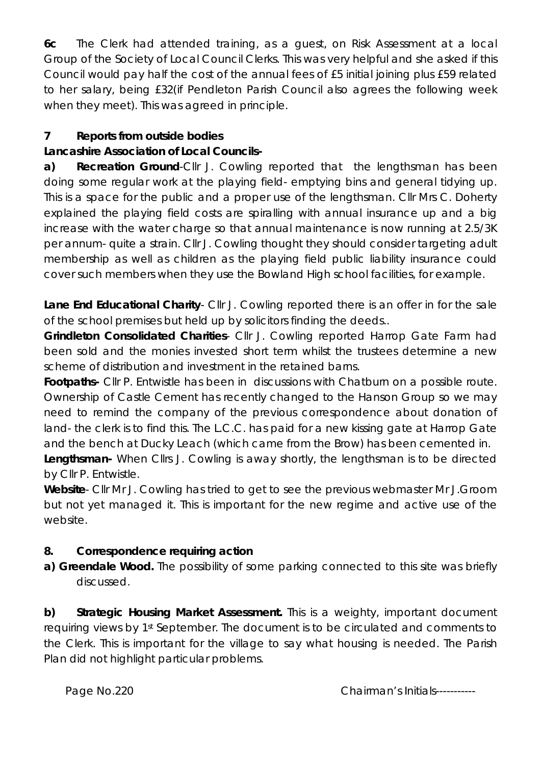**6c** The Clerk had attended training, as a guest, on Risk Assessment at a local Group of the Society of Local Council Clerks. This was very helpful and she asked if this Council would pay half the cost of the annual fees of £5 initial joining plus £59 related to her salary, being £32(if Pendleton Parish Council also agrees the following week when they meet). This was agreed in principle.

## **7 Reports from outside bodies**

## **Lancashire Association of Local Councils-**

**a) Recreation Ground**-Cllr J. Cowling reported that the lengthsman has been doing some regular work at the playing field- emptying bins and general tidying up. This is a space for the public and a proper use of the lengthsman. Cllr Mrs C. Doherty explained the playing field costs are spiralling with annual insurance up and a big increase with the water charge so that annual maintenance is now running at 2.5/3K per annum- quite a strain. Cllr J. Cowling thought they should consider targeting adult membership as well as children as the playing field public liability insurance could cover such members when they use the Bowland High school facilities, for example.

**Lane End Educational Charity**- Cllr J. Cowling reported there is an offer in for the sale of the school premises but held up by solicitors finding the deeds..

**Grindleton Consolidated Charities**- Cllr J. Cowling reported Harrop Gate Farm had been sold and the monies invested short term whilst the trustees determine a new scheme of distribution and investment in the retained barns.

**Footpaths-** Cllr P. Entwistle has been in discussions with Chatburn on a possible route. Ownership of Castle Cement has recently changed to the Hanson Group so we may need to remind the company of the previous correspondence about donation of land- the clerk is to find this. The L.C.C. has paid for a new kissing gate at Harrop Gate and the bench at Ducky Leach (which came from the Brow) has been cemented in.

**Lengthsman-** When Cllrs J. Cowling is away shortly, the lengthsman is to be directed by Cllr P. Entwistle.

**Website**- Cllr Mr J. Cowling has tried to get to see the previous webmaster Mr J.Groom but not yet managed it. This is important for the new regime and active use of the website.

## **8. Correspondence requiring action**

**a) Greendale Wood.** The possibility of some parking connected to this site was briefly discussed.

**b) Strategic Housing Market Assessment.** This is a weighty, important document requiring views by 1st September. The document is to be circulated and comments to the Clerk. This is important for the village to say what housing is needed. The Parish Plan did not highlight particular problems.